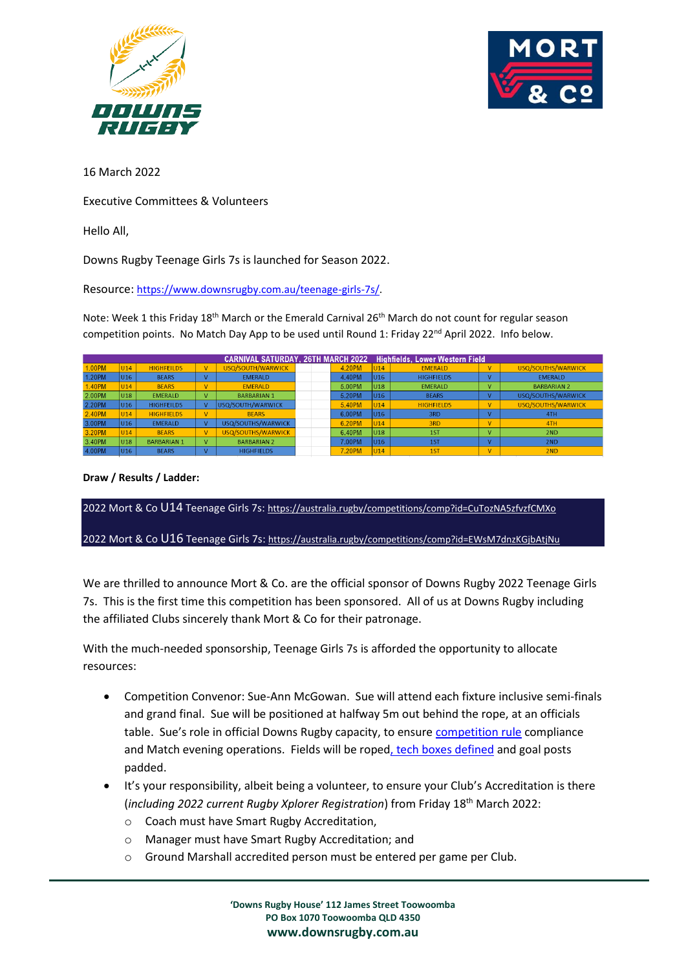



16 March 2022

Executive Committees & Volunteers

Hello All,

Downs Rugby Teenage Girls 7s is launched for Season 2022.

Resource: [https://www.downsrugby.com.au/teenage-girls-7s/.](https://www.downsrugby.com.au/teenage-girls-7s/) 

Note: Week 1 this Friday 18<sup>th</sup> March or the Emerald Carnival 26<sup>th</sup> March do not count for regular season competition points. No Match Day App to be used until Round 1: Friday  $22^{nd}$  April 2022. Info below.

|        |                 |                    |    | <b>CARNIVAL SATURDAY, 26TH MARCH 2022</b> |  |        |                 | <b>Highfields, Lower Western Field</b> |              |                    |
|--------|-----------------|--------------------|----|-------------------------------------------|--|--------|-----------------|----------------------------------------|--------------|--------------------|
| 1.00PM | U <sub>14</sub> | <b>HIGHFEILDS</b>  | V. | USQ/SOUTH/WARWICK                         |  | 4.20PM | <b>U14</b>      | <b>EMERALD</b>                         | $\vee$       | USQ/SOUTHS/WARWICK |
| 1.20PM | U16             | <b>BEARS</b>       |    | <b>EMERALD</b>                            |  | 4.40PM | U <sub>16</sub> | <b>HIGHFIELDS</b>                      |              | <b>EMERALD</b>     |
| 1.40PM | U <sub>14</sub> | <b>BFARS</b>       | v  | <b>FMFRAID</b>                            |  | 5.00PM | U18             | <b>FMFRALD</b>                         | $\mathbf{V}$ | <b>BARBARIAN 2</b> |
| 2.00PM | U18             | <b>EMERALD</b>     | v  | <b>BARBARIAN 1</b>                        |  | 5.20PM | U <sub>16</sub> | <b>BEARS</b>                           |              | USQ/SOUTHS/WARWICK |
| 2.20PM | U16             | <b>HIGHFEILDS</b>  |    | <b>USQ/SOUTH/WARWICK</b>                  |  | 5.40PM | U <sub>14</sub> | <b>HIGHFIELDS</b>                      | ν            | USQ/SOUTHS/WARWICK |
| 2.40PM | U <sub>14</sub> | <b>HIGHFIELDS</b>  | V  | <b>BFARS</b>                              |  | 6.00PM | U <sub>16</sub> | 3RD                                    |              | 4TH                |
| 3.00PM | U16             | <b>EMERALD</b>     |    | USQ/SOUTHS/WARWICK                        |  | 6.20PM | U <sub>14</sub> | 3RD                                    | $\vee$       | 4TH                |
| 3.20PM | U <sub>14</sub> | <b>BEARS</b>       | V  | USQ/SOUTHS/WARWICK                        |  | 6.40PM | U <sub>18</sub> | 1ST                                    | v            | 2ND                |
| 3.40PM | U18             | <b>BARBARIAN 1</b> | v  | <b>BARBARIAN 2</b>                        |  | 7.00PM | U <sub>16</sub> | <b>1ST</b>                             |              | 2ND                |
| 4.00PM | U16             | <b>BEARS</b>       |    | <b>HIGHFIELDS</b>                         |  | 7.20PM | U <sub>14</sub> | 1ST                                    | $\vee$       | 2ND                |

**Draw / Results / Ladder:**

2022 Mort & Co U14 Teenage Girls 7s: <https://australia.rugby/competitions/comp?id=CuTozNA5zfvzfCMXo>

2022 Mort & Co U16 Teenage Girls 7s: <https://australia.rugby/competitions/comp?id=EWsM7dnzKGjbAtjNu>

We are thrilled to announce Mort & Co. are the official sponsor of Downs Rugby 2022 Teenage Girls 7s. This is the first time this competition has been sponsored. All of us at Downs Rugby including the affiliated Clubs sincerely thank Mort & Co for their patronage.

With the much-needed sponsorship, Teenage Girls 7s is afforded the opportunity to allocate resources:

- Competition Convenor: Sue-Ann McGowan. Sue will attend each fixture inclusive semi-finals and grand final. Sue will be positioned at halfway 5m out behind the rope, at an officials table. Sue's role in official Downs Rugby capacity, to ensure [competition rule](https://www.downsrugby.com.au/wp-content/uploads/2022/02/V1_2022_Downs-Rugby-Junior_Teenage-Competition-Rules.pdf) compliance and Match evening operations. Fields will be roped, [tech boxes defined](https://www.downsrugby.com.au/wp-content/uploads/2022/03/Downs-Rugby-Ground-Marshal-Role-and-Responsibilities.pdf) and goal posts padded.
- It's your responsibility, albeit being a volunteer, to ensure your Club's Accreditation is there (*including 2022 current Rugby Xplorer Registration*) from Friday 18 th March 2022:
	- o Coach must have Smart Rugby Accreditation,
	- o Manager must have Smart Rugby Accreditation; and
	- o Ground Marshall accredited person must be entered per game per Club.

**'Downs Rugby House' 112 James Street Toowoomba PO Box 1070 Toowoomba QLD 4350 www.downsrugby.com.au**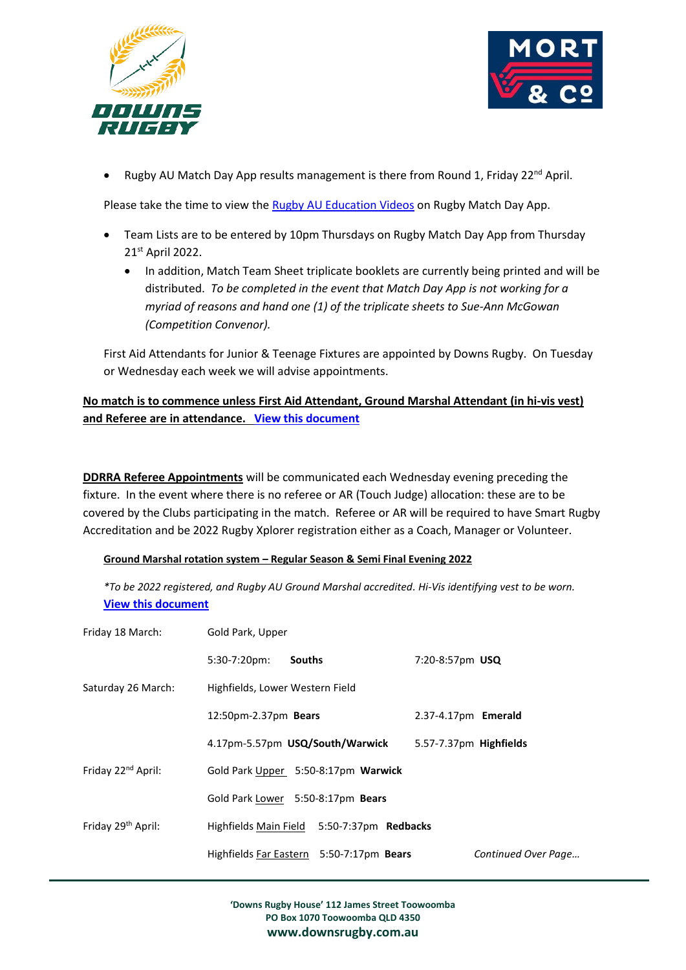



Rugby AU Match Day App results management is there from Round 1, Friday 22<sup>nd</sup> April.

Please take the time to view the [Rugby AU Education Videos](https://australia.rugby/participate/rugby-administration/club-administration/education-and-training) on Rugby Match Day App.

- Team Lists are to be entered by 10pm Thursdays on Rugby Match Day App from Thursday 21st April 2022.
	- In addition, Match Team Sheet triplicate booklets are currently being printed and will be distributed. *To be completed in the event that Match Day App is not working for a myriad of reasons and hand one (1) of the triplicate sheets to Sue-Ann McGowan (Competition Convenor).*

First Aid Attendants for Junior & Teenage Fixtures are appointed by Downs Rugby. On Tuesday or Wednesday each week we will advise appointments.

## **No match is to commence unless First Aid Attendant, Ground Marshal Attendant (in hi-vis vest) and Referee are in attendance. [View this document](https://www.downsrugby.com.au/wp-content/uploads/2022/03/Downs-Rugby-Ground-Marshal-Role-and-Responsibilities.pdf)**

**DDRRA Referee Appointments** will be communicated each Wednesday evening preceding the fixture. In the event where there is no referee or AR (Touch Judge) allocation: these are to be covered by the Clubs participating in the match. Referee or AR will be required to have Smart Rugby Accreditation and be 2022 Rugby Xplorer registration either as a Coach, Manager or Volunteer.

## **Ground Marshal rotation system – Regular Season & Semi Final Evening 2022**

*\*To be 2022 registered, and Rugby AU Ground Marshal accredited. Hi-Vis identifying vest to be worn.* **[View this document](https://www.downsrugby.com.au/wp-content/uploads/2022/03/Downs-Rugby-Ground-Marshal-Role-and-Responsibilities.pdf)**

| Friday 18 March:               | Gold Park, Upper                  |                                            |                        |  |  |  |
|--------------------------------|-----------------------------------|--------------------------------------------|------------------------|--|--|--|
|                                | $5:30-7:20 \text{pm}$             | <b>Souths</b>                              | 7:20-8:57pm USQ        |  |  |  |
| Saturday 26 March:             | Highfields, Lower Western Field   |                                            |                        |  |  |  |
|                                | 12:50pm-2.37pm Bears              |                                            | 2.37-4.17pm Emerald    |  |  |  |
|                                |                                   | 4.17pm-5.57pm USQ/South/Warwick            | 5.57-7.37pm Highfields |  |  |  |
| Friday 22 <sup>nd</sup> April: |                                   | Gold Park Upper 5:50-8:17pm Warwick        |                        |  |  |  |
|                                | Gold Park Lower 5:50-8:17pm Bears |                                            |                        |  |  |  |
| Friday 29 <sup>th</sup> April: |                                   | Highfields Main Field 5:50-7:37pm Redbacks |                        |  |  |  |
|                                |                                   | Highfields Far Eastern 5:50-7:17pm Bears   | Continued Over Page    |  |  |  |